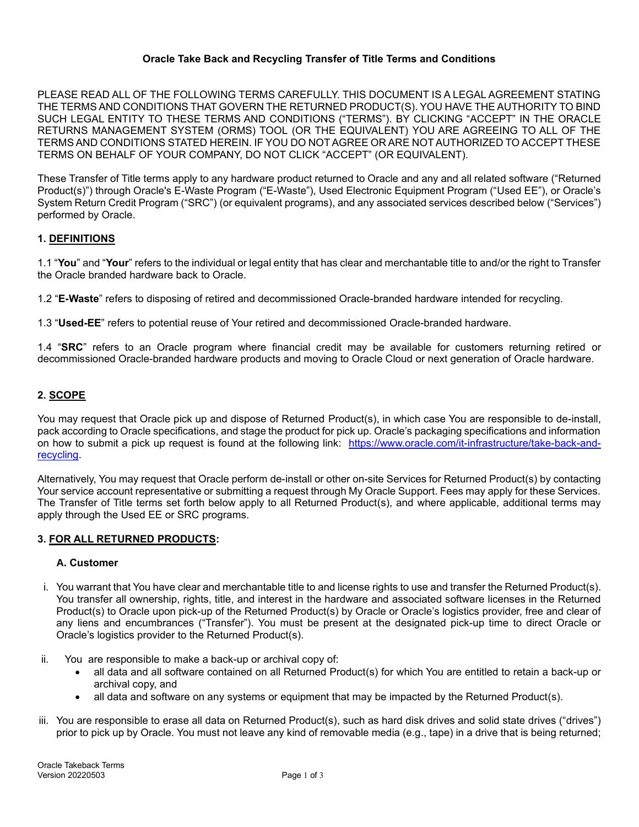### **Oracle Take Back and Recycling Transfer of Title Terms and Conditions**

PLEASE READ ALL OF THE FOLLOWING TERMS CAREFULLY. THIS DOCUMENT IS A LEGAL AGREEMENT STATING THE TERMS AND CONDITIONS THAT GOVERN THE RETURNED PRODUCT(S). YOU HAVE THE AUTHORITY TO BIND SUCH LEGAL ENTITY TO THESE TERMS AND CONDITIONS ("TERMS"). BY CLICKING "ACCEPT" IN THE ORACLE RETURNS MANAGEMENT SYSTEM (ORMS) TOOL (OR THE EQUIVALENT) YOU ARE AGREEING TO ALL OF THE TERMS AND CONDITIONS STATED HEREIN. IF YOU DO NOT AGREE OR ARE NOT AUTHORIZED TO ACCEPT THESE TERMS ON BEHALF OF YOUR COMPANY, DO NOT CLICK "ACCEPT" (OR EQUIVALENT).

These Transfer of Title terms apply to any hardware product returned to Oracle and any and all related software ("Returned Product(s)") through Oracle's E-Waste Program ("E-Waste"), Used Electronic Equipment Program ("Used EE"), or Oracle's System Return Credit Program ("SRC") (or equivalent programs), and any associated services described below ("Services") performed by Oracle.

# **1. DEFINITIONS**

1.1 "**You**" and "**Your**" refers to the individual or legal entity that has clear and merchantable title to and/or the right to Transfer the Oracle branded hardware back to Oracle.

1.2 "**E-Waste**" refers to disposing of retired and decommissioned Oracle-branded hardware intended for recycling.

1.3 "**Used-EE**" refers to potential reuse of Your retired and decommissioned Oracle-branded hardware.

1.4 "**SRC**" refers to an Oracle program where financial credit may be available for customers returning retired or decommissioned Oracle-branded hardware products and moving to Oracle Cloud or next generation of Oracle hardware.

## **2. SCOPE**

You may request that Oracle pick up and dispose of Returned Product(s), in which case You are responsible to de-install, pack according to Oracle specifications, and stage the product for pick up. Oracle's packaging specifications and information on how to submit a pick up request is found at the following link: [https://www.oracle.com/it-infrastructure/take-back-and](https://www.oracle.com/it-infrastructure/take-back-and-recycling)[recycling.](https://www.oracle.com/it-infrastructure/take-back-and-recycling)

Alternatively, You may request that Oracle perform de-install or other on-site Services for Returned Product(s) by contacting Your service account representative or submitting a request through My Oracle Support. Fees may apply for these Services. The Transfer of Title terms set forth below apply to all Returned Product(s), and where applicable, additional terms may apply through the Used EE or SRC programs.

#### **3. FOR ALL RETURNED PRODUCTS:**

#### **A. Customer**

- i. You warrant that You have clear and merchantable title to and license rights to use and transfer the Returned Product(s). You transfer all ownership, rights, title, and interest in the hardware and associated software licenses in the Returned Product(s) to Oracle upon pick-up of the Returned Product(s) by Oracle or Oracle's logistics provider, free and clear of any liens and encumbrances ("Transfer"). You must be present at the designated pick-up time to direct Oracle or Oracle's logistics provider to the Returned Product(s).
- ii. You are responsible to make a back-up or archival copy of:
	- all data and all software contained on all Returned Product(s) for which You are entitled to retain a back-up or archival copy, and
	- all data and software on any systems or equipment that may be impacted by the Returned Product(s).
- iii. You are responsible to erase all data on Returned Product(s), such as hard disk drives and solid state drives ("drives") prior to pick up by Oracle. You must not leave any kind of removable media (e.g., tape) in a drive that is being returned;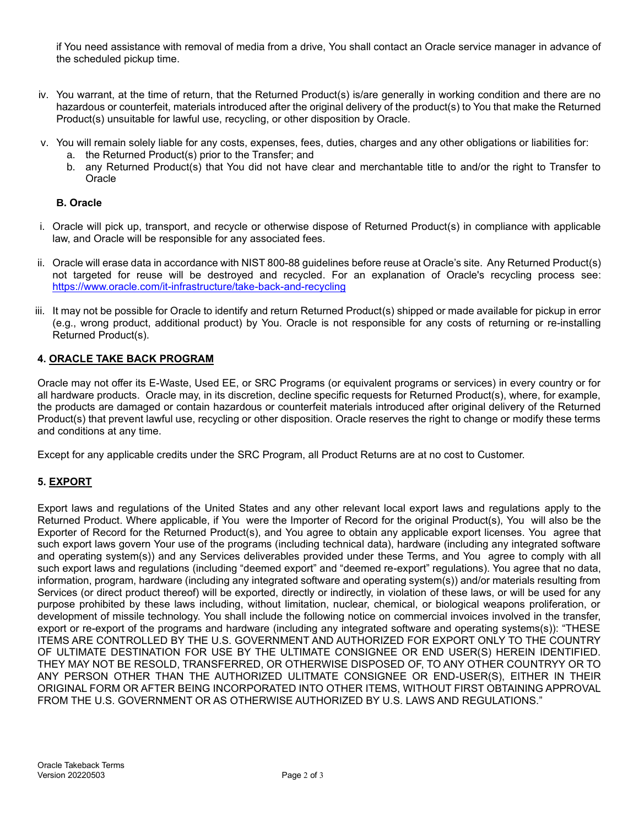if You need assistance with removal of media from a drive, You shall contact an Oracle service manager in advance of the scheduled pickup time.

- iv. You warrant, at the time of return, that the Returned Product(s) is/are generally in working condition and there are no hazardous or counterfeit, materials introduced after the original delivery of the product(s) to You that make the Returned Product(s) unsuitable for lawful use, recycling, or other disposition by Oracle.
- v. You will remain solely liable for any costs, expenses, fees, duties, charges and any other obligations or liabilities for:
	- a. the Returned Product(s) prior to the Transfer; and
	- b. any Returned Product(s) that You did not have clear and merchantable title to and/or the right to Transfer to **Oracle**

### **B. Oracle**

- i. Oracle will pick up, transport, and recycle or otherwise dispose of Returned Product(s) in compliance with applicable law, and Oracle will be responsible for any associated fees.
- ii. Oracle will erase data in accordance with NIST 800-88 guidelines before reuse at Oracle's site. Any Returned Product(s) not targeted for reuse will be destroyed and recycled. For an explanation of Oracle's recycling process see: <https://www.oracle.com/it-infrastructure/take-back-and-recycling>
- iii. It may not be possible for Oracle to identify and return Returned Product(s) shipped or made available for pickup in error (e.g., wrong product, additional product) by You. Oracle is not responsible for any costs of returning or re-installing Returned Product(s).

#### **4. ORACLE TAKE BACK PROGRAM**

Oracle may not offer its E-Waste, Used EE, or SRC Programs (or equivalent programs or services) in every country or for all hardware products. Oracle may, in its discretion, decline specific requests for Returned Product(s), where, for example, the products are damaged or contain hazardous or counterfeit materials introduced after original delivery of the Returned Product(s) that prevent lawful use, recycling or other disposition. Oracle reserves the right to change or modify these terms and conditions at any time.

Except for any applicable credits under the SRC Program, all Product Returns are at no cost to Customer.

## **5. EXPORT**

Export laws and regulations of the United States and any other relevant local export laws and regulations apply to the Returned Product. Where applicable, if You were the Importer of Record for the original Product(s), You will also be the Exporter of Record for the Returned Product(s), and You agree to obtain any applicable export licenses. You agree that such export laws govern Your use of the programs (including technical data), hardware (including any integrated software and operating system(s)) and any Services deliverables provided under these Terms, and You agree to comply with all such export laws and regulations (including "deemed export" and "deemed re-export" regulations). You agree that no data, information, program, hardware (including any integrated software and operating system(s)) and/or materials resulting from Services (or direct product thereof) will be exported, directly or indirectly, in violation of these laws, or will be used for any purpose prohibited by these laws including, without limitation, nuclear, chemical, or biological weapons proliferation, or development of missile technology. You shall include the following notice on commercial invoices involved in the transfer, export or re-export of the programs and hardware (including any integrated software and operating systems(s)): "THESE ITEMS ARE CONTROLLED BY THE U.S. GOVERNMENT AND AUTHORIZED FOR EXPORT ONLY TO THE COUNTRY OF ULTIMATE DESTINATION FOR USE BY THE ULTIMATE CONSIGNEE OR END USER(S) HEREIN IDENTIFIED. THEY MAY NOT BE RESOLD, TRANSFERRED, OR OTHERWISE DISPOSED OF, TO ANY OTHER COUNTRYY OR TO ANY PERSON OTHER THAN THE AUTHORIZED ULITMATE CONSIGNEE OR END-USER(S), EITHER IN THEIR ORIGINAL FORM OR AFTER BEING INCORPORATED INTO OTHER ITEMS, WITHOUT FIRST OBTAINING APPROVAL FROM THE U.S. GOVERNMENT OR AS OTHERWISE AUTHORIZED BY U.S. LAWS AND REGULATIONS."